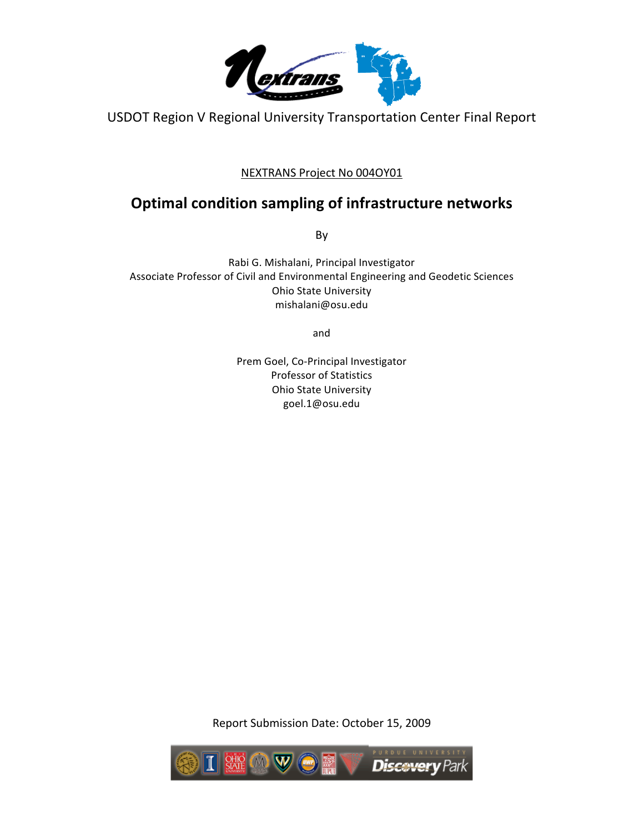

USDOT Region V Regional University Transportation Center Final Report

## NEXTRANS
Project
No
004OY01

## **Optimal
condition
sampling
of
infrastructure
networks**

By

Rabi
G. Mishalani,
Principal
Investigator Associate
Professor
of
Civil
and
Environmental
Engineering
and
Geodetic
Sciences Ohio
State
University mishalani@osu.edu

and

Prem Goel,
Co‐Principal
Investigator Professor
of
Statistics Ohio
State
University goel.1@osu.edu

Report
Submission
Date:
October
15,
2009

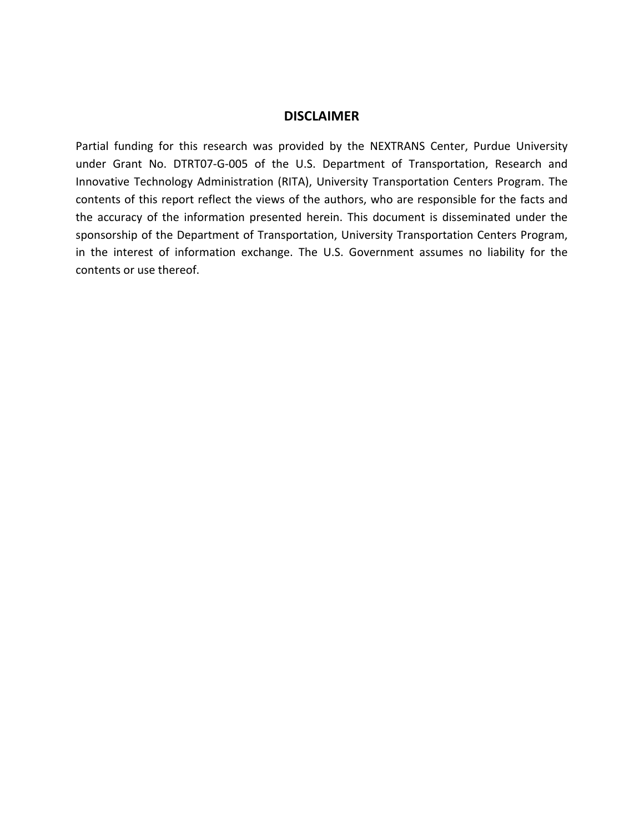## **DISCLAIMER**

Partial funding for this research was provided by the NEXTRANS Center, Purdue University under Grant No. DTRT07-G-005 of the U.S. Department of Transportation, Research and Innovative
Technology
 Administration
 (RITA),
University
Transportation
 Centers
 Program.
The contents of this report reflect the views of the authors, who are responsible for the facts and the accuracy of the information presented herein. This document is disseminated under the sponsorship of the Department of Transportation, University Transportation Centers Program, in the interest of information exchange. The U.S. Government assumes no liability for the contents
or
use
thereof.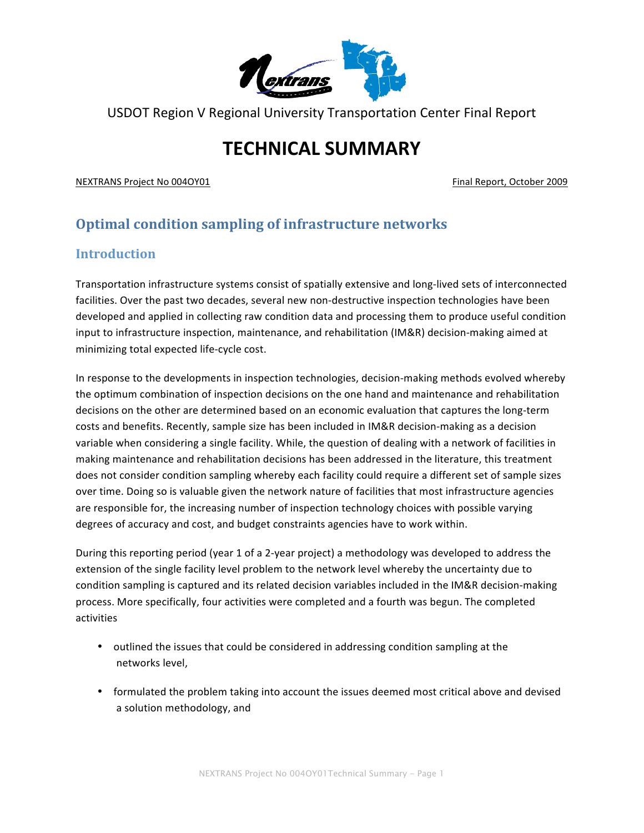

USDOT Region V Regional University Transportation Center Final Report

# **TECHNICAL
SUMMARY**

NEXTRANS
Project
No
004OY01 Final
Report,
October
2009

## **Optimal
condition
sampling
of
infrastructure
networks**

## **Introduction**

Transportation
infrastructure
systems
consist
of
spatially
extensive
and
long‐lived
sets
of
interconnected facilities. Over the past two decades, several new non-destructive inspection technologies have been developed and applied in collecting raw condition data and processing them to produce useful condition input to infrastructure inspection, maintenance, and rehabilitation (IM&R) decision-making aimed at minimizing
total
expected
life‐cycle
cost.

In response to the developments in inspection technologies, decision-making methods evolved whereby the optimum combination of inspection decisions on the one hand and maintenance and rehabilitation decisions on the other are determined based on an economic evaluation that captures the long-term costs and benefits. Recently, sample size has been included in IM&R decision-making as a decision variable when considering a single facility. While, the question of dealing with a network of facilities in making
maintenance
and
rehabilitation
decisions
has
been
addressed
in
the
literature,
this
treatment does not consider condition sampling whereby each facility could require a different set of sample sizes over
time.
Doing
so
is
valuable
given
the
network
nature
of
facilities
that
most
infrastructure
agencies are responsible for, the increasing number of inspection technology choices with possible varying degrees of accuracy and cost, and budget constraints agencies have to work within.

During this reporting period (year 1 of a 2-year project) a methodology was developed to address the extension of the single facility level problem to the network level whereby the uncertainty due to condition sampling is captured and its related decision variables included in the IM&R decision-making process.
More
specifically,
four
activities
were
completed
and
a
fourth
was
begun.
The
completed activities

- outlined the issues that could be considered in addressing condition sampling at the networks
level,
- formulated the problem taking into account the issues deemed most critical above and devised a
solution
methodology,
and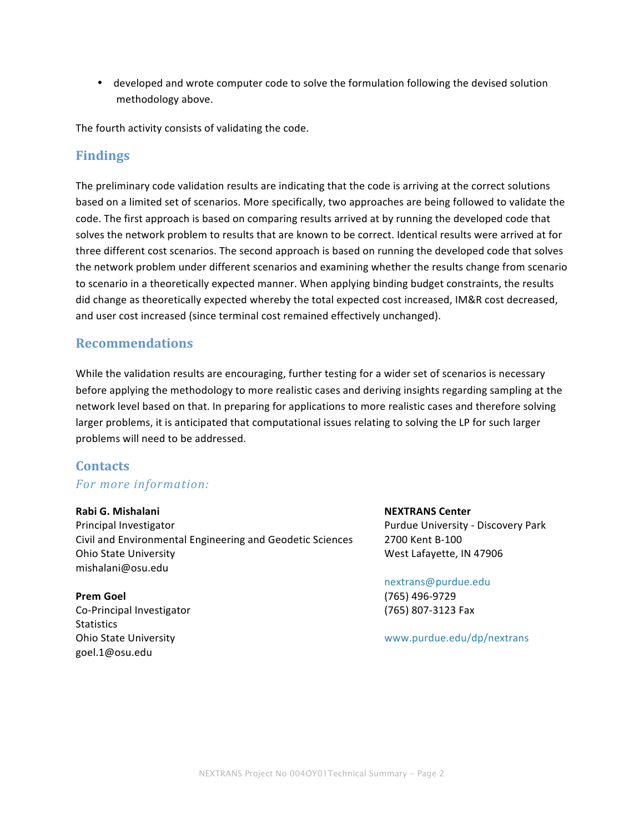• developed and wrote computer code to solve the formulation following the devised solution methodology
above.

The
fourth
activity
consists
of
validating
the
code.

## **Findings**

The preliminary code validation results are indicating that the code is arriving at the correct solutions based on a limited set of scenarios. More specifically, two approaches are being followed to validate the code. The first approach is based on comparing results arrived at by running the developed code that solves the network problem to results that are known to be correct. Identical results were arrived at for three different cost scenarios. The second approach is based on running the developed code that solves the network problem under different scenarios and examining whether the results change from scenario to scenario in a theoretically expected manner. When applying binding budget constraints, the results did
change
as
theoretically
expected
whereby
the
total
expected
cost
increased,
IM&R
cost
decreased, and
user
cost
increased
(since
terminal
cost
remained
effectively
unchanged).

## **Recommendations**

While the validation results are encouraging, further testing for a wider set of scenarios is necessary before applying the methodology to more realistic cases and deriving insights regarding sampling at the network
level
based
on
that.
In
preparing
for
applications
to
more
realistic
cases
and
therefore
solving larger problems, it is anticipated that computational issues relating to solving the LP for such larger problems
will
need
to
be
addressed.

## **Contacts**

## *For
more
information:*

## **Rabi
G. Mishalani**

Principal
Investigator Civil
and
Environmental
Engineering
and
Geodetic
Sciences Ohio
State
University mishalani@osu.edu

**Prem Goel** Co‐Principal
Investigator **Statistics** Ohio
State
University goel.1@osu.edu

**NEXTRANS
Center** Purdue
University
‐
Discovery
Park 2700
Kent
B‐100 West
Lafayette,
IN
47906

nextrans@purdue.edu (765)
496‐9729 (765)
807‐3123
Fax

www.purdue.edu/dp/nextrans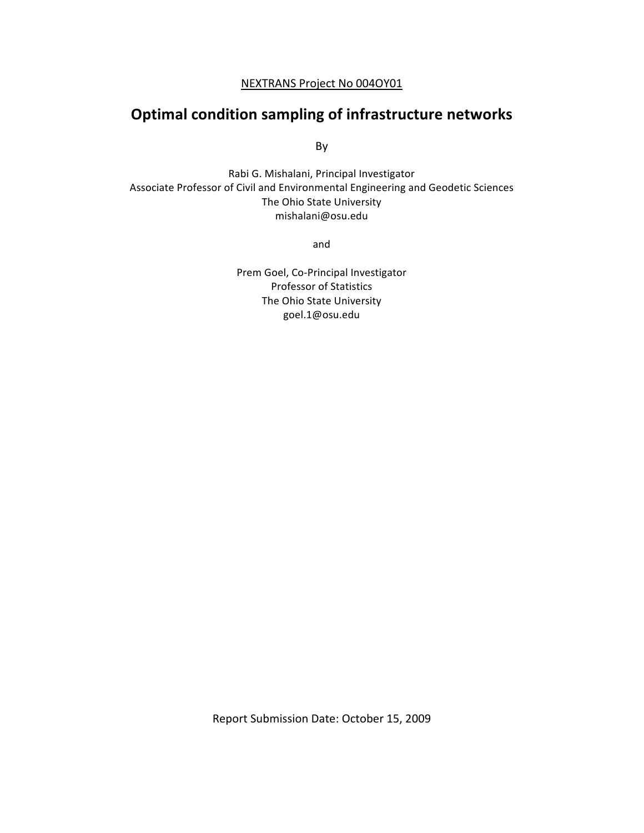## NEXTRANS
Project
No
004OY01

## **Optimal
condition
sampling
of
infrastructure
networks**

By

Rabi
G.
Mishalani,
Principal
Investigator Associate
Professor
of
Civil
and
Environmental
Engineering
and
Geodetic
Sciences The
Ohio
State
University mishalani@osu.edu

and

Prem Goel,
Co‐Principal
Investigator Professor
of
Statistics The
Ohio
State
University goel.1@osu.edu

Report
Submission
Date:
October
15,
2009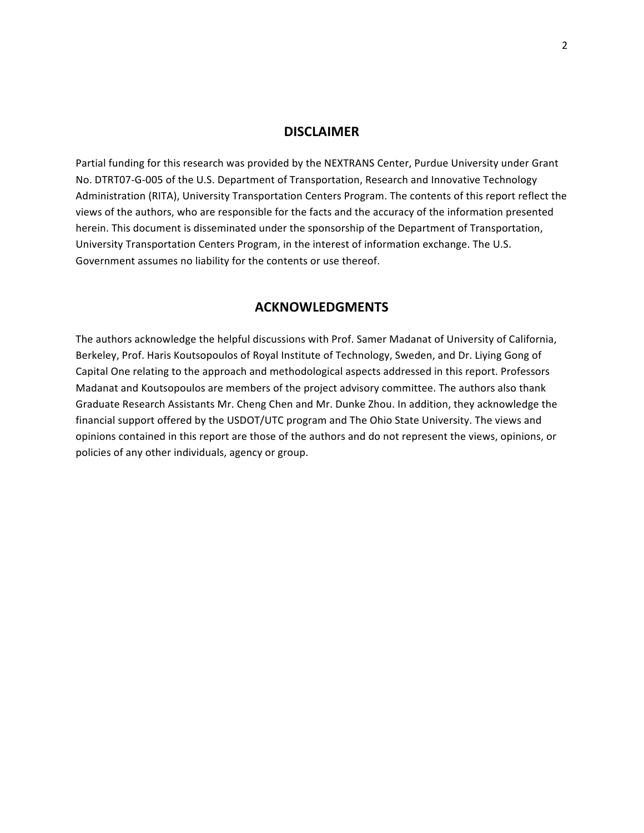#### **DISCLAIMER**

Partial funding for this research was provided by the NEXTRANS Center, Purdue University under Grant No. DTRT07-G-005 of the U.S. Department of Transportation, Research and Innovative Technology Administration (RITA), University Transportation Centers Program. The contents of this report reflect the views
of
the
authors,
who
are
responsible
for
the
facts
and
the
accuracy
of
the
information
presented herein. This document is disseminated under the sponsorship of the Department of Transportation, University Transportation Centers Program, in the interest of information exchange. The U.S. Government assumes no liability for the contents or use thereof.

## **ACKNOWLEDGMENTS**

The authors acknowledge the helpful discussions with Prof. Samer Madanat of University of California, Berkeley, Prof. Haris Koutsopoulos of Royal Institute of Technology, Sweden, and Dr. Liying Gong of Capital One relating to the approach and methodological aspects addressed in this report. Professors Madanat and Koutsopoulos are members of the project advisory committee. The authors also thank Graduate
Research
Assistants
Mr.
Cheng
Chen
and
Mr.
Dunke
Zhou.
In
addition,
they
acknowledge
the financial support offered by the USDOT/UTC program and The Ohio State University. The views and opinions contained in this report are those of the authors and do not represent the views, opinions, or policies
of
any
other
individuals,
agency
or
group.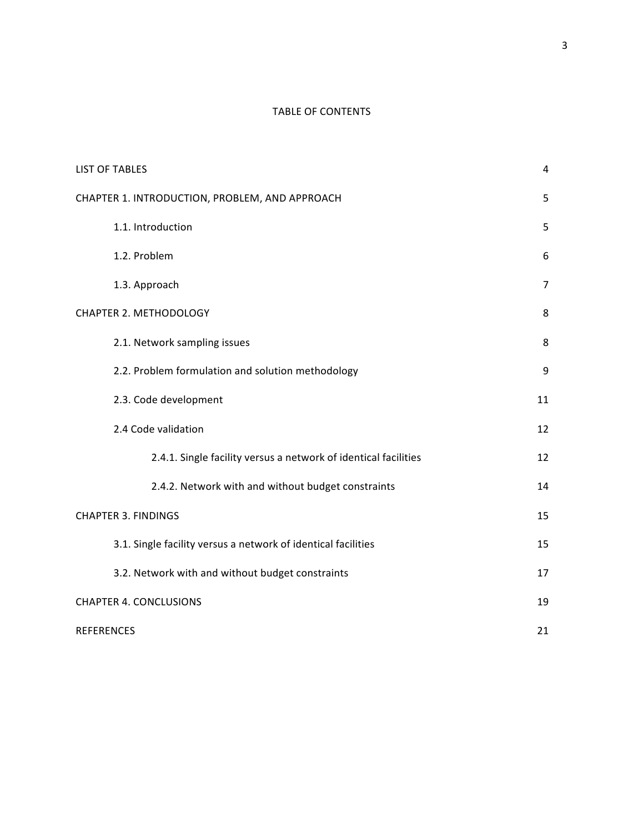## TABLE
OF
CONTENTS

| <b>LIST OF TABLES</b>                                           | 4  |  |  |  |
|-----------------------------------------------------------------|----|--|--|--|
| CHAPTER 1. INTRODUCTION, PROBLEM, AND APPROACH                  | 5  |  |  |  |
| 1.1. Introduction                                               | 5  |  |  |  |
| 1.2. Problem                                                    | 6  |  |  |  |
| 1.3. Approach                                                   | 7  |  |  |  |
| CHAPTER 2. METHODOLOGY                                          | 8  |  |  |  |
| 2.1. Network sampling issues                                    | 8  |  |  |  |
| 2.2. Problem formulation and solution methodology               | 9  |  |  |  |
| 2.3. Code development                                           | 11 |  |  |  |
| 2.4 Code validation                                             | 12 |  |  |  |
| 2.4.1. Single facility versus a network of identical facilities | 12 |  |  |  |
| 2.4.2. Network with and without budget constraints              | 14 |  |  |  |
| <b>CHAPTER 3. FINDINGS</b>                                      | 15 |  |  |  |
| 3.1. Single facility versus a network of identical facilities   | 15 |  |  |  |
| 3.2. Network with and without budget constraints                | 17 |  |  |  |
| <b>CHAPTER 4. CONCLUSIONS</b>                                   |    |  |  |  |
| <b>REFERENCES</b>                                               | 21 |  |  |  |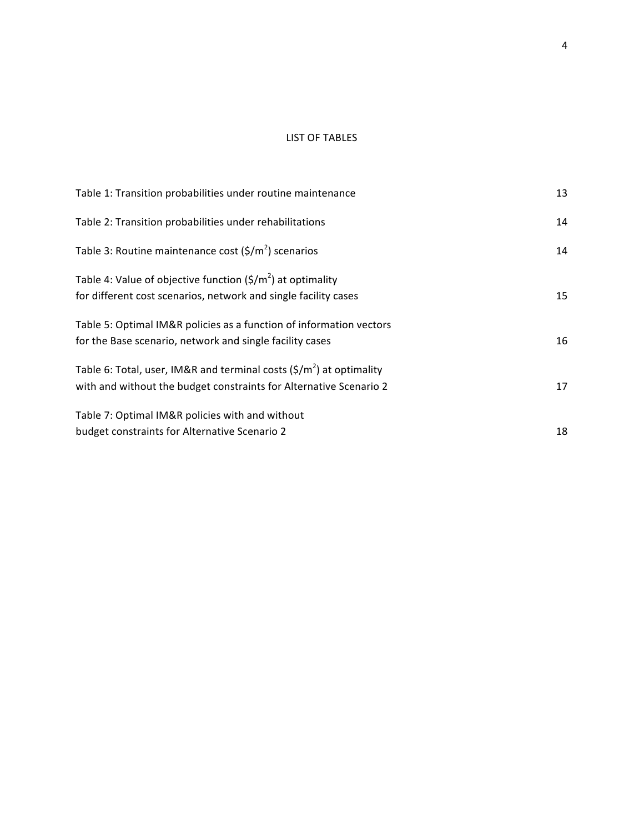#### LIST
OF
TABLES

| Table 1: Transition probabilities under routine maintenance                                                                                           | 13 |
|-------------------------------------------------------------------------------------------------------------------------------------------------------|----|
| Table 2: Transition probabilities under rehabilitations                                                                                               | 14 |
| Table 3: Routine maintenance cost $(\frac{\xi}{m^2})$ scenarios                                                                                       | 14 |
| Table 4: Value of objective function $(\frac{\xi}{m^2})$ at optimality<br>for different cost scenarios, network and single facility cases             | 15 |
| Table 5: Optimal IM&R policies as a function of information vectors<br>for the Base scenario, network and single facility cases                       | 16 |
| Table 6: Total, user, IM&R and terminal costs $(\frac{\xi}{m^2})$ at optimality<br>with and without the budget constraints for Alternative Scenario 2 | 17 |
| Table 7: Optimal IM&R policies with and without<br>budget constraints for Alternative Scenario 2                                                      | 18 |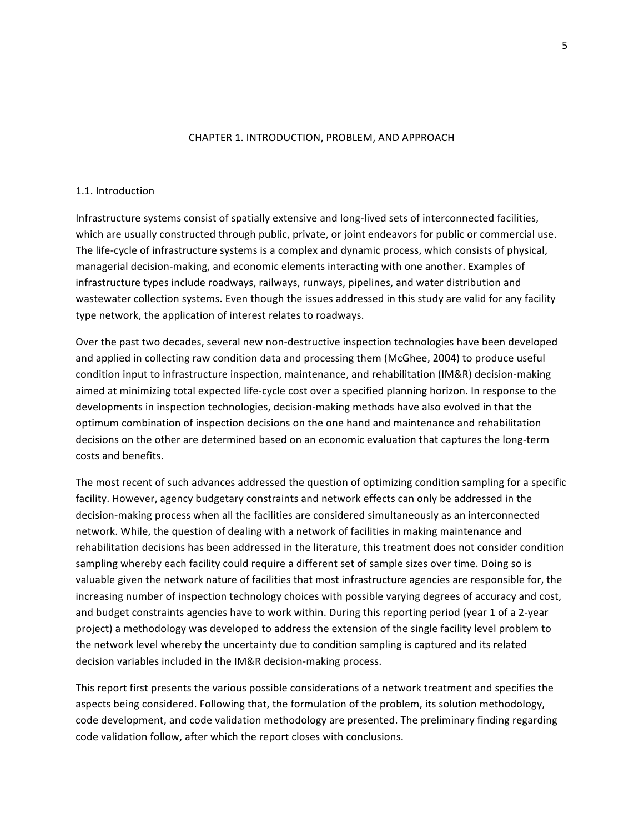#### CHAPTER
1.
INTRODUCTION,
PROBLEM,
AND
APPROACH

#### 1.1.
Introduction

Infrastructure systems consist of spatially extensive and long-lived sets of interconnected facilities, which are usually constructed through public, private, or joint endeavors for public or commercial use. The life-cycle of infrastructure systems is a complex and dynamic process, which consists of physical, managerial
decision‐making,
and
economic
elements
interacting
with
one
another.
Examples
of infrastructure
types
include
roadways,
railways,
runways,
pipelines,
and
water
distribution
and wastewater collection systems. Even though the issues addressed in this study are valid for any facility type
network,
the
application
of
interest
relates
to
roadways.

Over the past two decades, several new non-destructive inspection technologies have been developed and applied in collecting raw condition data and processing them (McGhee, 2004) to produce useful condition input to infrastructure inspection, maintenance, and rehabilitation (IM&R) decision-making aimed at minimizing total expected life-cycle cost over a specified planning horizon. In response to the developments in inspection technologies, decision-making methods have also evolved in that the optimum combination of inspection decisions on the one hand and maintenance and rehabilitation decisions on the other are determined based on an economic evaluation that captures the long-term costs
and
benefits.

The most recent of such advances addressed the question of optimizing condition sampling for a specific facility. However, agency budgetary constraints and network effects can only be addressed in the decision‐making
process
when
all
the
facilities
are
considered
simultaneously
as
an
interconnected network. While, the question of dealing with a network of facilities in making maintenance and rehabilitation
decisions
has
been
addressed
in
the
literature,
this
treatment
does
not
consider
condition sampling whereby each facility could require a different set of sample sizes over time. Doing so is valuable given the network nature of facilities that most infrastructure agencies are responsible for, the increasing number of inspection technology choices with possible varying degrees of accuracy and cost, and budget constraints agencies have to work within. During this reporting period (year 1 of a 2-year project) a methodology was developed to address the extension of the single facility level problem to the
network
level
whereby
the
uncertainty
due
to
condition
sampling
is
captured
and
its
related decision
variables
included
in
the
IM&R
decision‐making
process.

This report first presents the various possible considerations of a network treatment and specifies the aspects
being
considered.
Following
that,
the
formulation
of
the
problem,
its
solution
methodology, code development, and code validation methodology are presented. The preliminary finding regarding code
validation
follow,
after
which
the
report
closes
with
conclusions.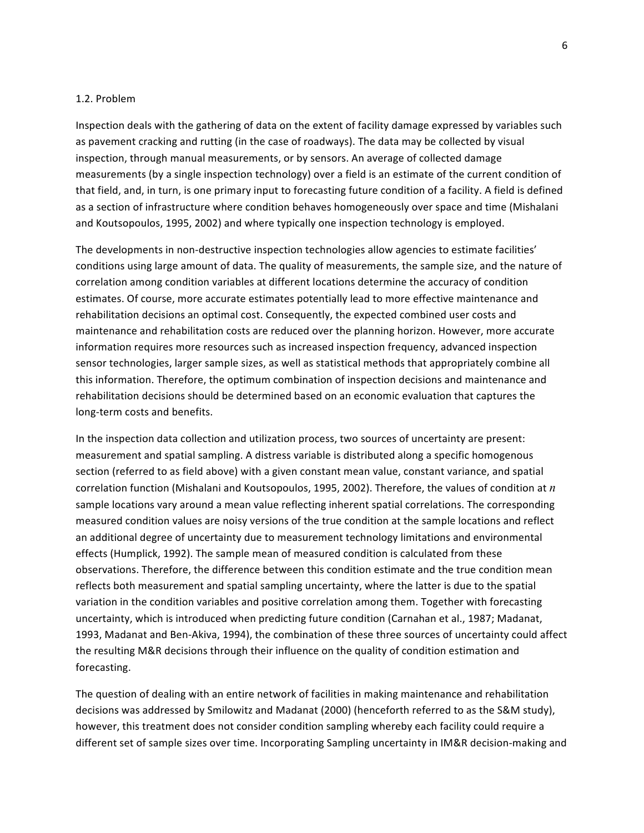#### 1.2.
Problem

Inspection deals with the gathering of data on the extent of facility damage expressed by variables such as pavement cracking and rutting (in the case of roadways). The data may be collected by visual inspection,
through
manual
measurements,
or
by
sensors.
An
average
of
collected
damage measurements (by a single inspection technology) over a field is an estimate of the current condition of that field, and, in turn, is one primary input to forecasting future condition of a facility. A field is defined as a section of infrastructure where condition behaves homogeneously over space and time (Mishalani and
Koutsopoulos,
1995,
2002)
and
where
typically
one
inspection
technology
is
employed.

The developments in non-destructive inspection technologies allow agencies to estimate facilities' conditions using large amount of data. The quality of measurements, the sample size, and the nature of correlation among condition variables at different locations determine the accuracy of condition estimates.
Of
course,
more
accurate
estimates
potentially
lead
to
more
effective
maintenance
and rehabilitation
decisions
an
optimal
cost.
Consequently,
the
expected
combined
user
costs
and maintenance and rehabilitation costs are reduced over the planning horizon. However, more accurate information requires more resources such as increased inspection frequency, advanced inspection sensor
technologies,
larger
sample
sizes,
as
well
as
statistical
methods
that
appropriately
combine
all this
information.
Therefore,
the
optimum
combination
of
inspection
decisions
and
maintenance
and rehabilitation
decisions
should
be
determined
based
on
an
economic
evaluation
that
captures
the long‐term
costs
and
benefits.

In the inspection data collection and utilization process, two sources of uncertainty are present: measurement and spatial sampling. A distress variable is distributed along a specific homogenous section (referred to as field above) with a given constant mean value, constant variance, and spatial correlation
function
(Mishalani
and
Koutsopoulos,
1995,
2002).
Therefore,
the
values
of
condition
at *n* sample locations vary around a mean value reflecting inherent spatial correlations. The corresponding measured
condition
values
are
noisy
versions
of
the
true
condition
at
the
sample
locations
and
reflect an
additional
degree
of
uncertainty
due
to
measurement
technology
limitations
and
environmental effects
(Humplick,
1992).
The
sample
mean
of
measured
condition
is
calculated
from
these observations.
Therefore,
the
difference
between
this
condition
estimate
and
the
true
condition
mean reflects both measurement and spatial sampling uncertainty, where the latter is due to the spatial variation in the condition variables and positive correlation among them. Together with forecasting uncertainty, which is introduced when predicting future condition (Carnahan et al., 1987; Madanat, 1993, Madanat and Ben-Akiva, 1994), the combination of these three sources of uncertainty could affect the resulting M&R decisions through their influence on the quality of condition estimation and forecasting.

The question of dealing with an entire network of facilities in making maintenance and rehabilitation decisions was addressed by Smilowitz and Madanat (2000) (henceforth referred to as the S&M study), however, this treatment does not consider condition sampling whereby each facility could require a different set of sample sizes over time. Incorporating Sampling uncertainty in IM&R decision-making and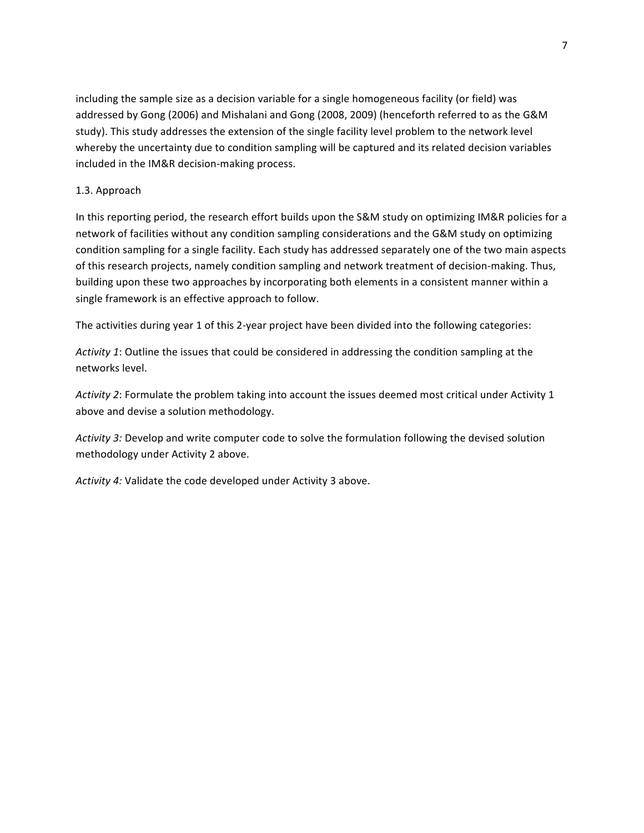including the sample size as a decision variable for a single homogeneous facility (or field) was addressed by Gong (2006) and Mishalani and Gong (2008, 2009) (henceforth referred to as the G&M study). This study addresses the extension of the single facility level problem to the network level whereby the uncertainty due to condition sampling will be captured and its related decision variables included
in
the
IM&R
decision‐making
process.

## 1.3.
Approach

In this reporting period, the research effort builds upon the S&M study on optimizing IM&R policies for a network of facilities without any condition sampling considerations and the G&M study on optimizing condition
sampling
for
a
single
facility.
Each
study
has
addressed
separately
one
of
the
two
main
aspects of this research projects, namely condition sampling and network treatment of decision-making. Thus, building upon these two approaches by incorporating both elements in a consistent manner within a single
framework
is
an
effective
approach
to
follow.

The activities during year 1 of this 2-year project have been divided into the following categories:

Activity 1: Outline the issues that could be considered in addressing the condition sampling at the networks
level.

Activity 2: Formulate the problem taking into account the issues deemed most critical under Activity 1 above
and
devise
a
solution
methodology.

Activity 3: Develop and write computer code to solve the formulation following the devised solution methodology
under
Activity
2
above.

Activity 4: Validate the code developed under Activity 3 above.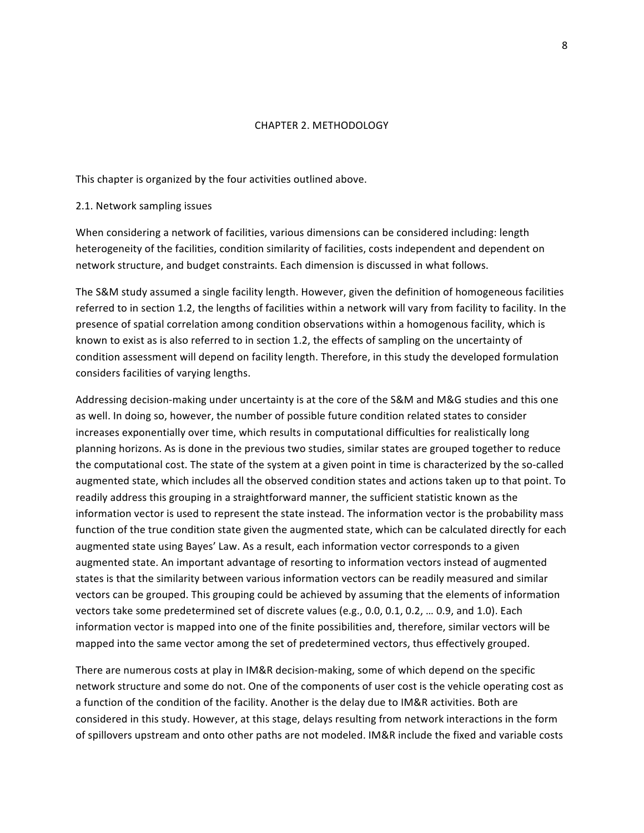#### CHAPTER
2.
METHODOLOGY

This
chapter
is
organized
by
the
four
activities
outlined
above.

#### 2.1.
Network
sampling
issues

When considering a network of facilities, various dimensions can be considered including: length heterogeneity of the facilities, condition similarity of facilities, costs independent and dependent on network
structure,
and
budget
constraints.
Each
dimension
is
discussed
in
what
follows.

The S&M study assumed a single facility length. However, given the definition of homogeneous facilities referred to in section 1.2, the lengths of facilities within a network will vary from facility to facility. In the presence of spatial correlation among condition observations within a homogenous facility, which is known to exist as is also referred to in section 1.2, the effects of sampling on the uncertainty of condition
assessment
will
depend
on
facility
length. Therefore,
in
this
study
the
developed
formulation considers
facilities
of
varying
lengths.

Addressing decision-making under uncertainty is at the core of the S&M and M&G studies and this one as well. In doing so, however, the number of possible future condition related states to consider increases exponentially over time, which results in computational difficulties for realistically long planning
horizons.
As
is
done
in
the
previous
two
studies,
similar
states
are
grouped
together
to
reduce the computational cost. The state of the system at a given point in time is characterized by the so-called augmented state, which includes all the observed condition states and actions taken up to that point. To readily address this grouping in a straightforward manner, the sufficient statistic known as the information vector is used to represent the state instead. The information vector is the probability mass function of the true condition state given the augmented state, which can be calculated directly for each augmented state using Bayes' Law. As a result, each information vector corresponds to a given augmented state. An important advantage of resorting to information vectors instead of augmented states is that the similarity between various information vectors can be readily measured and similar vectors can be grouped. This grouping could be achieved by assuming that the elements of information vectors take some predetermined set of discrete values (e.g., 0.0, 0.1, 0.2, ... 0.9, and 1.0). Each information vector is mapped into one of the finite possibilities and, therefore, similar vectors will be mapped
into
the
same
vector
among
the
set
of
predetermined
vectors,
thus
effectively
grouped.

There are numerous costs at play in IM&R decision-making, some of which depend on the specific network structure and some do not. One of the components of user cost is the vehicle operating cost as a function of the condition of the facility. Another is the delay due to IM&R activities. Both are considered in this study. However, at this stage, delays resulting from network interactions in the form of spillovers upstream
and
onto
other
paths
are
not
modeled.
IM&R
include
the
fixed
and
variable
costs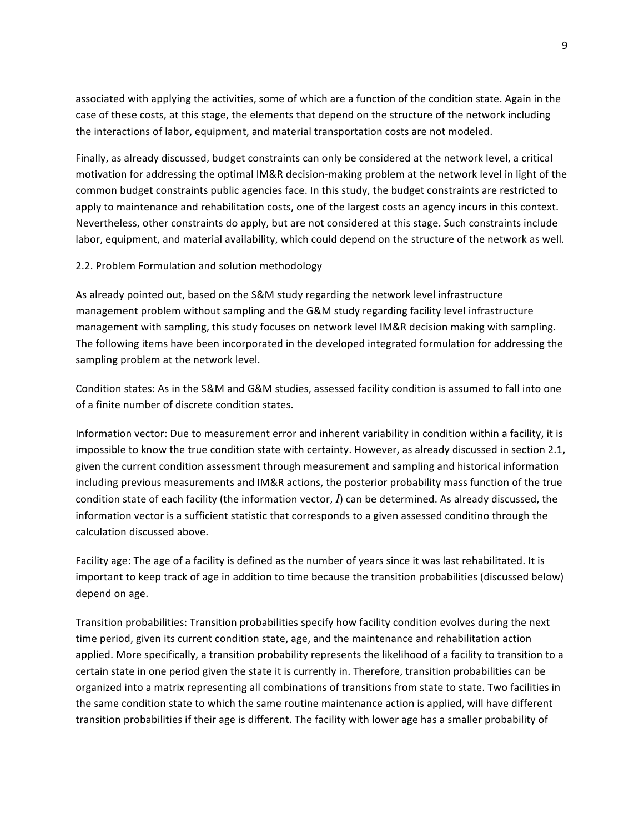associated with applying the activities, some of which are a function of the condition state. Again in the case
of
these
costs,
at
this
stage,
the
elements
that
depend
on
the
structure
of
the
network
including the
interactions
of
labor,
equipment,
and
material
transportation
costs
are
not
modeled.

Finally, as already discussed, budget constraints can only be considered at the network level, a critical motivation for addressing the optimal IM&R decision-making problem at the network level in light of the common
budget
constraints
public
agencies
face.
In
this
study,
the
budget
constraints
are
restricted
to apply to maintenance and rehabilitation costs, one of the largest costs an agency incurs in this context. Nevertheless, other constraints do apply, but are not considered at this stage. Such constraints include labor, equipment, and material availability, which could depend on the structure of the network as well.

#### 2.2.
Problem
Formulation
and
solution
methodology

As
already
pointed
out,
based
on
the
S&M
study
regarding
the
network
level
infrastructure management
problem
without
sampling
and
the
G&M
study
regarding
facility
level
infrastructure management with sampling, this study focuses on network level IM&R decision making with sampling. The following items have been incorporated in the developed integrated formulation for addressing the sampling
problem
at
the
network
level.

Condition states: As in the S&M and G&M studies, assessed facility condition is assumed to fall into one of
a
finite
number
of
discrete
condition
states.

Information vector: Due to measurement error and inherent variability in condition within a facility, it is impossible to know the true condition state with certainty. However, as already discussed in section 2.1, given
the
current
condition
assessment
through
measurement
and
sampling
and
historical
information including previous measurements and IM&R actions, the posterior probability mass function of the true condition state of each facility (the information vector, I) can be determined. As already discussed, the information vector is a sufficient statistic that corresponds to a given assessed conditino through the calculation
discussed
above.

Facility age: The age of a facility is defined as the number of years since it was last rehabilitated. It is important to keep track of age in addition to time because the transition probabilities (discussed below) depend
on
age.

Transition probabilities: Transition probabilities specify how facility condition evolves during the next time period, given its current condition state, age, and the maintenance and rehabilitation action applied. More specifically, a transition probability represents the likelihood of a facility to transition to a certain
state
in
one
period
given
the
state
it
is
currently
in.
Therefore,
transition
probabilities
can
be organized into a matrix representing all combinations of transitions from state to state. Two facilities in the
same
condition
state
to
which
the
same
routine
maintenance
action
is
applied,
will
have
different transition probabilities if their age is different. The facility with lower age has a smaller probability of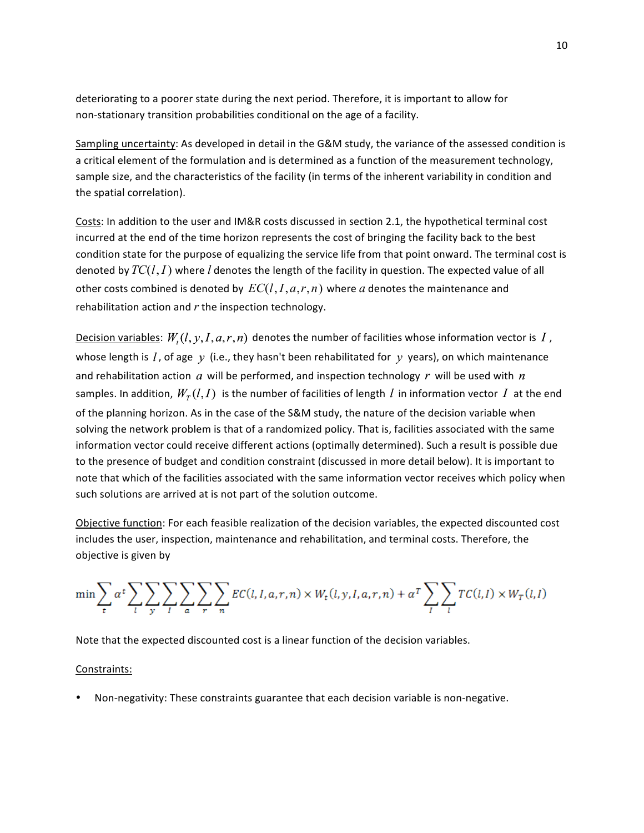deteriorating to a poorer state during the next period. Therefore, it is important to allow for non‐stationary
transition
probabilities
conditional
on
the
age
of
a
facility.

Sampling uncertainty: As developed in detail in the G&M study, the variance of the assessed condition is a critical element of the formulation and is determined as a function of the measurement technology, sample size, and the characteristics of the facility (in terms of the inherent variability in condition and the
spatial
correlation).

Costs: In addition to the user and IM&R costs discussed in section 2.1, the hypothetical terminal cost incurred at the end of the time horizon represents the cost of bringing the facility back to the best condition state for the purpose of equalizing the service life from that point onward. The terminal cost is denoted by  $TC(l, I)$  where  $l$  denotes the length of the facility in question. The expected value of all other costs combined is denoted by  $EC(l, I, a, r, n)$  where  $a$  denotes the maintenance and rehabilitation action and r the inspection technology.

Decision variables:  $W_{t}(l, y, I, a, r, n)$  denotes the number of facilities whose information vector is  $I$  , whose length is l, of age y (i.e., they hasn't been rehabilitated for y years), on which maintenance and rehabilitation action  $a$  will be performed, and inspection technology  $r$  will be used with  $n$ samples. In addition,  $W_{\tau}(l,I)$  is the number of facilities of length l in information vector I at the end of the planning horizon. As in the case of the S&M study, the nature of the decision variable when solving the network problem is that of a randomized policy. That is, facilities associated with the same information vector could receive different actions (optimally determined). Such a result is possible due to the presence of budget and condition constraint (discussed in more detail below). It is important to note that which of the facilities associated with the same information vector receives which policy when such
solutions
are
arrived
at
is
not
part
of
the
solution
outcome.

Objective function: For each feasible realization of the decision variables, the expected discounted cost includes the user, inspection, maintenance and rehabilitation, and terminal costs. Therefore, the objective
is
given
by

$$
\min \sum_{t} \alpha^{t} \sum_{l} \sum_{y} \sum_{l} \sum_{a} \sum_{r} \sum_{n} EC(l, l, a, r, n) \times W_{t}(l, y, l, a, r, n) + \alpha^{T} \sum_{l} \sum_{l} TC(l, l) \times W_{T}(l, l)
$$

Note
that
the
expected
discounted
cost
is
a
linear
function
of
the
decision
variables.

#### Constraints:

Non-negativity: These constraints guarantee that each decision variable is non-negative.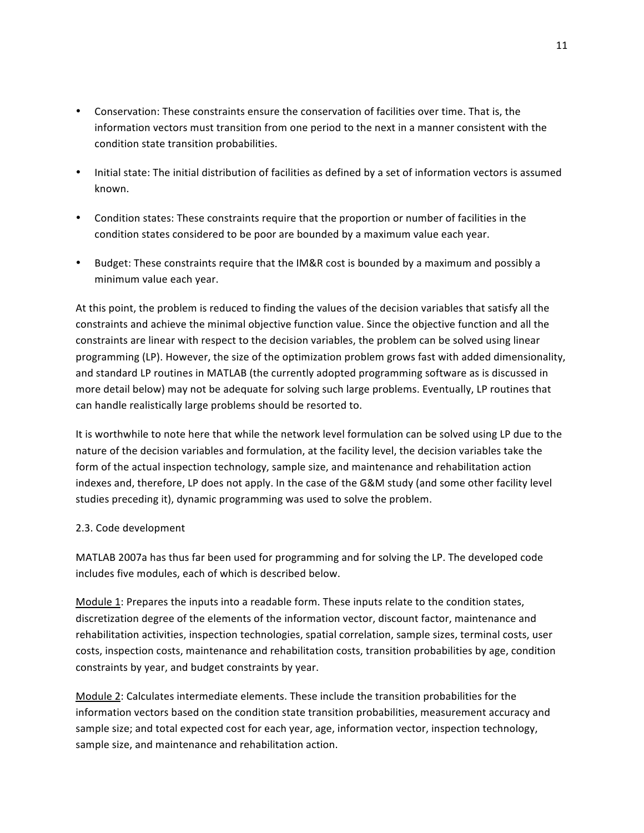- Conservation: These constraints ensure the conservation of facilities over time. That is, the information vectors must transition from one period to the next in a manner consistent with the condition
state
transition
probabilities.
- Initial state: The initial distribution of facilities as defined by a set of information vectors is assumed known.
- Condition states: These constraints require that the proportion or number of facilities in the condition
states
considered
to
be
poor
are
bounded
by
a
maximum
value each
year.
- Budget: These constraints require that the IM&R cost is bounded by a maximum and possibly a minimum
value
each
year.

At this point, the problem is reduced to finding the values of the decision variables that satisfy all the constraints and achieve the minimal objective function value. Since the objective function and all the constraints are linear with respect to the decision variables, the problem can be solved using linear programming (LP). However, the size of the optimization problem grows fast with added dimensionality, and standard LP routines in MATLAB (the currently adopted programming software as is discussed in more detail below) may not be adequate for solving such large problems. Eventually, LP routines that can
handle
realistically
large
problems
should
be
resorted
to.

It is worthwhile to note here that while the network level formulation can be solved using LP due to the nature of the decision variables and formulation, at the facility level, the decision variables take the form of the actual inspection technology, sample size, and maintenance and rehabilitation action indexes and, therefore, LP does not apply. In the case of the G&M study (and some other facility level studies
preceding
it),
dynamic
programming
was
used
to
solve
the
problem.

## 2.3.
Code
development

MATLAB 2007a has thus far been used for programming and for solving the LP. The developed code includes
five
modules,
each
of
which
is
described
below.

Module 1: Prepares the inputs into a readable form. These inputs relate to the condition states, discretization degree of the elements of the information vector, discount factor, maintenance and rehabilitation activities, inspection technologies, spatial correlation, sample sizes, terminal costs, user costs, inspection costs, maintenance and rehabilitation costs, transition probabilities by age, condition constraints
by
year,
and
budget
constraints
by
year.

Module 2: Calculates intermediate elements. These include the transition probabilities for the information
vectors
based
on
the
condition
state
transition
probabilities,
measurement
accuracy and sample size; and total expected cost for each year, age, information vector, inspection technology, sample
size,
and
maintenance
and
rehabilitation
action.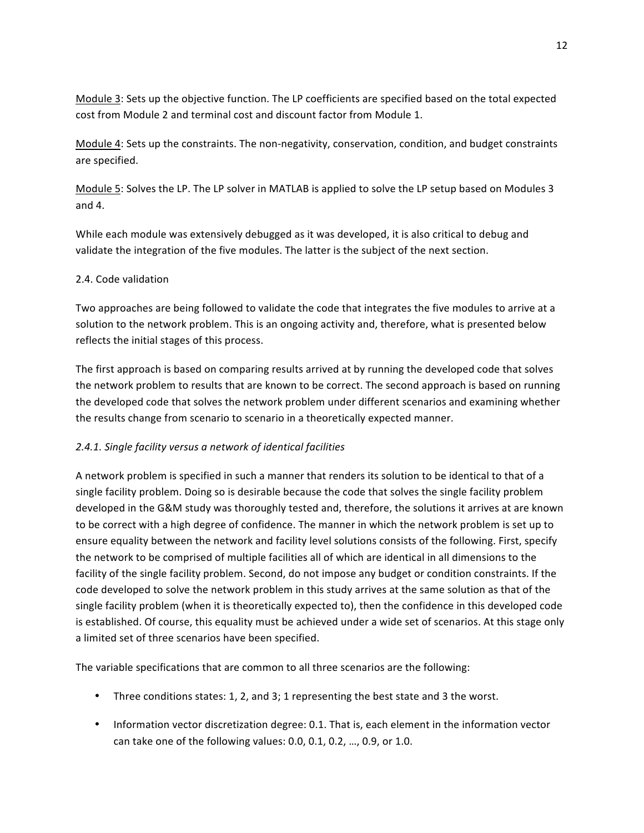Module 3: Sets up the objective function. The LP coefficients are specified based on the total expected cost
from
Module
2
and
terminal
cost
and
discount
factor
from
Module
1.

Module 4: Sets up the constraints. The non-negativity, conservation, condition, and budget constraints are
specified.

Module 5: Solves the LP. The LP solver in MATLAB is applied to solve the LP setup based on Modules 3 and
4.

While each module was extensively debugged as it was developed, it is also critical to debug and validate the integration of the five modules. The latter is the subject of the next section.

## 2.4.
Code
validation

Two approaches are being followed to validate the code that integrates the five modules to arrive at a solution to the network problem. This is an ongoing activity and, therefore, what is presented below reflects the initial stages of this process.

The first approach is based on comparing results arrived at by running the developed code that solves the network problem to results that are known to be correct. The second approach is based on running the
developed
code
that
solves
the
network
problem
under
different
scenarios
and
examining
whether the
results
change
from
scenario
to
scenario
in
a
theoretically
expected
manner.

## *2.4.1.
Single
facility
versus
a
network
of
identical
facilities*

A network problem is specified in such a manner that renders its solution to be identical to that of a single facility problem. Doing so is desirable because the code that solves the single facility problem developed in the G&M study was thoroughly tested and, therefore, the solutions it arrives at are known to be correct with a high degree of confidence. The manner in which the network problem is set up to ensure
equality
between
the
network
and
facility
level
solutions
consists
of
the
following.
First,
specify the network to be comprised of multiple facilities all of which are identical in all dimensions to the facility of the single facility problem. Second, do not impose any budget or condition constraints. If the code developed to solve the network problem in this study arrives at the same solution as that of the single facility problem (when it is theoretically expected to), then the confidence in this developed code is established. Of course, this equality must be achieved under a wide set of scenarios. At this stage only a
limited
set
of
three
scenarios
have
been
specified.

The
variable
specifications
that
are
common
to
all
three
scenarios
are
the
following:

- Three conditions states: 1, 2, and 3; 1 representing the best state and 3 the worst.
- Information vector discretization degree: 0.1. That is, each element in the information vector can
take
one
of
the
following
values:
0.0,
0.1,
0.2,
…,
0.9,
or
1.0.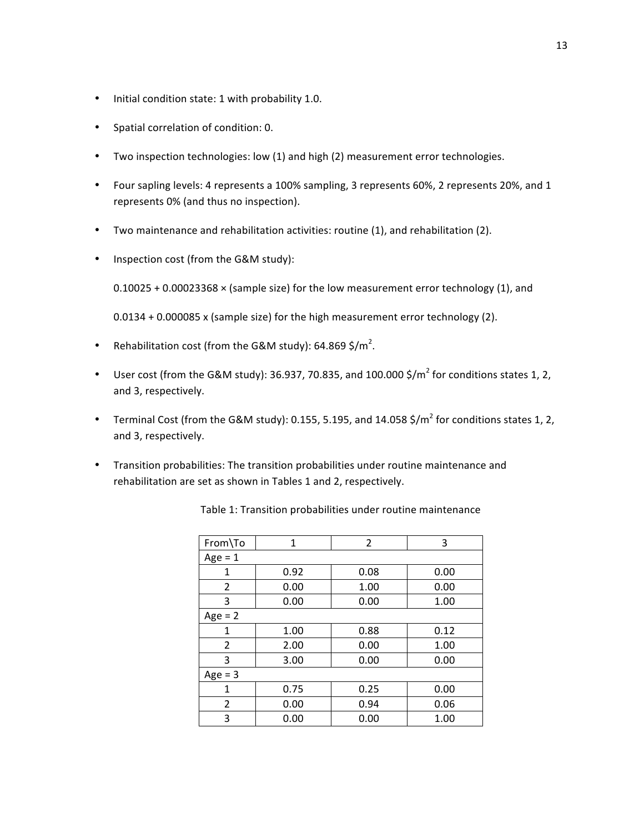- Initial
condition
state:
1
with
probability
1.0.
- Spatial
correlation
of
condition:
0.
- Two inspection technologies: low (1) and high (2) measurement error technologies.
- Four sapling levels: 4 represents a 100% sampling, 3 represents 60%, 2 represents 20%, and 1 represents
0%
(and
thus
no
inspection).
- Two maintenance and rehabilitation activities: routine (1), and rehabilitation (2).
- Inspection cost (from the G&M study):

 $0.10025 + 0.00023368 \times$  (sample size) for the low measurement error technology (1), and

0.0134 + 0.000085 x (sample size) for the high measurement error technology (2).

- Rehabilitation cost (from the G&M study): 64.869 \$/m<sup>2</sup>.
- User cost (from the G&M study): 36.937, 70.835, and 100.000 \$/ $m^2$  for conditions states 1, 2, and
3,
respectively.
- Terminal Cost (from the G&M study): 0.155, 5.195, and 14.058 \$/m<sup>2</sup> for conditions states 1, 2, and
3,
respectively.
- Transition probabilities: The transition probabilities under routine maintenance and rehabilitation are set as shown in Tables 1 and 2, respectively.

| From\To        | 1    | $\overline{2}$ | 3    |  |  |  |  |  |
|----------------|------|----------------|------|--|--|--|--|--|
| $Age = 1$      |      |                |      |  |  |  |  |  |
| 1              | 0.92 | 0.08           | 0.00 |  |  |  |  |  |
| $\overline{2}$ | 0.00 | 1.00           | 0.00 |  |  |  |  |  |
| 3              | 0.00 | 0.00           | 1.00 |  |  |  |  |  |
| $Age = 2$      |      |                |      |  |  |  |  |  |
| 1              | 1.00 | 0.88           | 0.12 |  |  |  |  |  |
| 2              | 2.00 | 0.00           | 1.00 |  |  |  |  |  |
| 3              | 3.00 | 0.00           | 0.00 |  |  |  |  |  |
| $Age = 3$      |      |                |      |  |  |  |  |  |
| 1              | 0.75 | 0.25           | 0.00 |  |  |  |  |  |
| 2              | 0.00 | 0.94           | 0.06 |  |  |  |  |  |
| 3              | 0.00 | 0.00           | 1.00 |  |  |  |  |  |

Table
1:
Transition
probabilities
under
routine
maintenance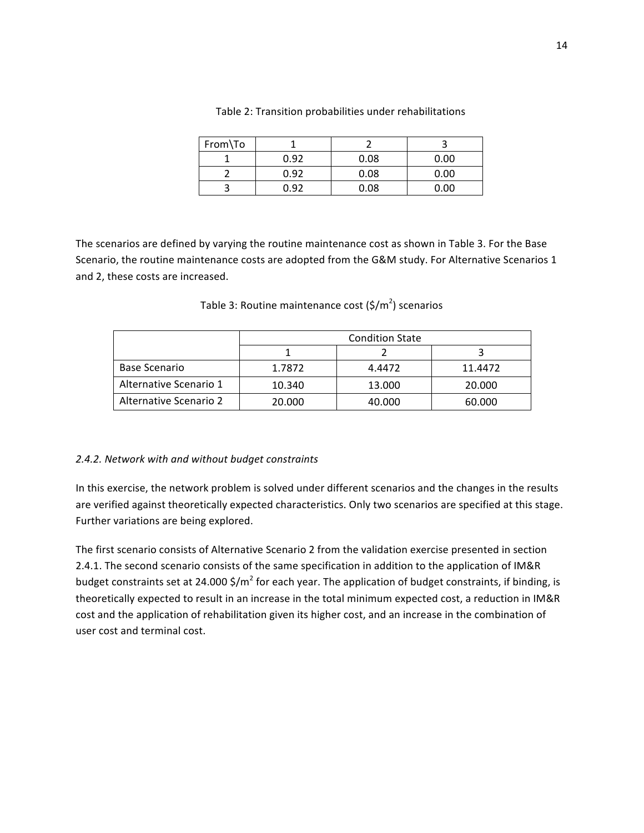| From\To |      |      |      |
|---------|------|------|------|
|         | 0.92 | 0.08 | 0.00 |
|         | 0.92 | 0.08 | 0.00 |
|         | በ ዓን | 0.08 | 0.00 |

#### Table 2: Transition probabilities under rehabilitations

The scenarios are defined by varying the routine maintenance cost as shown in Table 3. For the Base Scenario, the routine maintenance costs are adopted from the G&M study. For Alternative Scenarios 1 and
2,
these
costs
are
increased.

|                        | <b>Condition State</b> |        |         |  |  |  |  |
|------------------------|------------------------|--------|---------|--|--|--|--|
|                        |                        |        |         |  |  |  |  |
| Base Scenario          | 1.7872                 | 4.4472 | 11.4472 |  |  |  |  |
| Alternative Scenario 1 | 10.340                 | 13.000 | 20,000  |  |  |  |  |
| Alternative Scenario 2 | 20.000                 | 40.000 | 60.000  |  |  |  |  |

Table 3: Routine maintenance cost (\$/m<sup>2</sup>) scenarios

## *2.4.2.
Network
with
and
without
budget
constraints*

In this exercise, the network problem is solved under different scenarios and the changes in the results are verified against theoretically expected characteristics. Only two scenarios are specified at this stage. Further
variations
are
being
explored.

The first scenario consists of Alternative Scenario 2 from the validation exercise presented in section 2.4.1. The second scenario consists of the same specification in addition to the application of IM&R budget constraints set at 24.000 \$/m<sup>2</sup> for each year. The application of budget constraints, if binding, is theoretically expected to result in an increase in the total minimum expected cost, a reduction in IM&R cost and the application of rehabilitation given its higher cost, and an increase in the combination of user
cost
and
terminal
cost.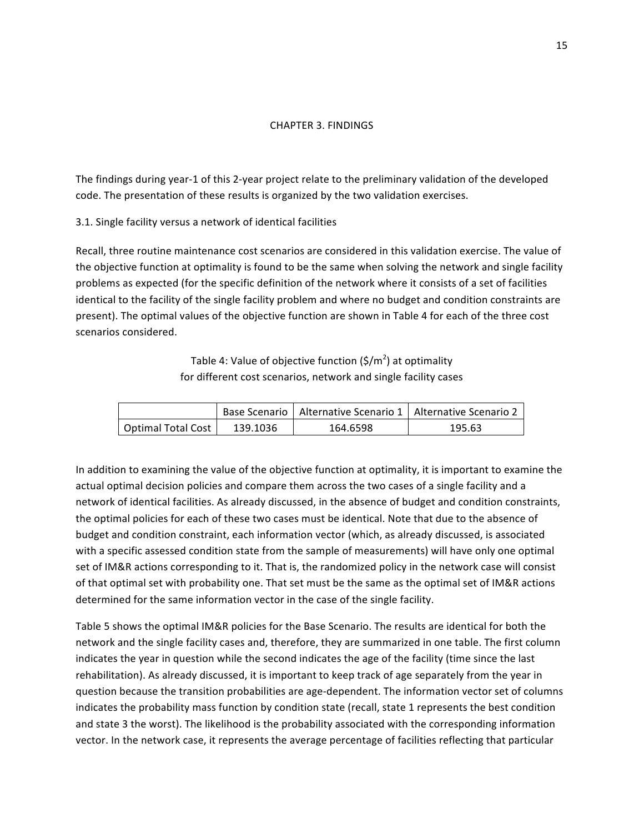#### CHAPTER
3.
FINDINGS

The findings during year-1 of this 2-year project relate to the preliminary validation of the developed code.
The
presentation
of
these
results
is
organized
by
the
two
validation
exercises.

3.1.
Single
facility
versus
a
network
of
identical
facilities

Recall, three routine maintenance cost scenarios are considered in this validation exercise. The value of the objective function at optimality is found to be the same when solving the network and single facility problems as expected (for the specific definition of the network where it consists of a set of facilities identical to the facility of the single facility problem and where no budget and condition constraints are present).
The
optimal
values
of
the
objective
function
are
shown
in
Table
4
for
each
of
the
three
cost scenarios
considered.

> Table 4: Value of objective function (\$/m<sup>2</sup>) at optimality for
> different
> cost
> scenarios,
> network
> and
> single
> facility
> cases

|                    |          | Base Scenario   Alternative Scenario 1   Alternative Scenario 2 |        |  |
|--------------------|----------|-----------------------------------------------------------------|--------|--|
| Optimal Total Cost | 139.1036 | 164.6598                                                        | 195.63 |  |

In addition to examining the value of the objective function at optimality, it is important to examine the actual optimal decision policies and compare them across the two cases of a single facility and a network of identical facilities. As already discussed, in the absence of budget and condition constraints, the optimal policies for each of these two cases must be identical. Note that due to the absence of budget
and
condition
constraint,
each
information
vector
(which,
as
already
discussed,
is
associated with a specific assessed condition state from the sample of measurements) will have only one optimal set of IM&R actions corresponding to it. That is, the randomized policy in the network case will consist of that optimal set with probability one. That set must be the same as the optimal set of IM&R actions determined for the same information vector in the case of the single facility.

Table 5 shows the optimal IM&R policies for the Base Scenario. The results are identical for both the network and the single facility cases and, therefore, they are summarized in one table. The first column indicates the year in question while the second indicates the age of the facility (time since the last rehabilitation). As already discussed, it is important to keep track of age separately from the year in question
because
the
transition
probabilities
are
age‐dependent.
The
information
vector
set
of
columns indicates the probability mass function by condition state (recall, state 1 represents the best condition and state 3 the worst). The likelihood is the probability associated with the corresponding information vector. In the network case, it represents the average percentage of facilities reflecting that particular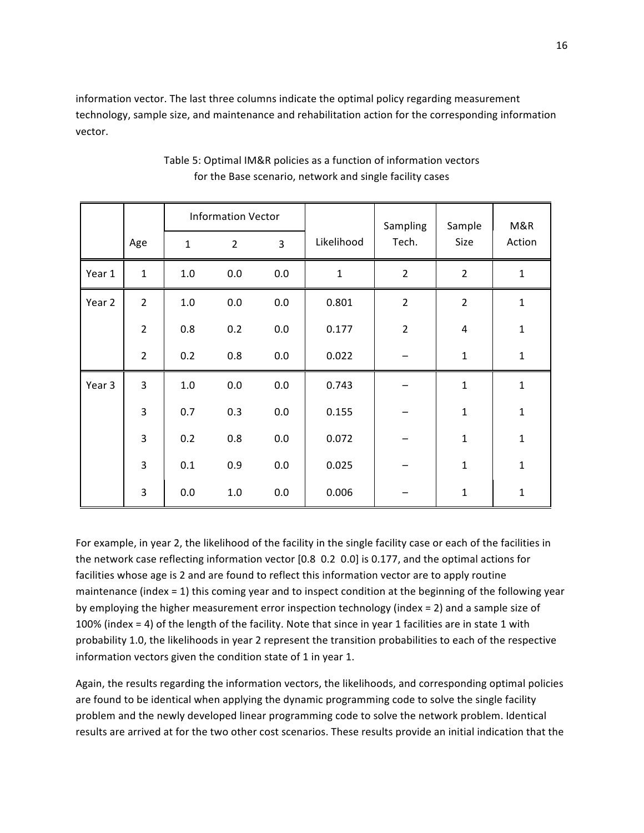information
vector.
The
last
three
columns
indicate
the
optimal
policy
regarding
measurement technology,
sample
size,
and
maintenance
and
rehabilitation
action
for
the
corresponding
information vector.

|        |                |              | <b>Information Vector</b> |     |             | Sampling       | Sample<br>Size | M&R<br>Action |
|--------|----------------|--------------|---------------------------|-----|-------------|----------------|----------------|---------------|
|        | Age            | $\mathbf{1}$ | $\overline{2}$            | 3   | Likelihood  | Tech.          |                |               |
| Year 1 | $\mathbf 1$    | 1.0          | $0.0\,$                   | 0.0 | $\mathbf 1$ | $\overline{2}$ | $\overline{2}$ | $\mathbf{1}$  |
| Year 2 | $\overline{2}$ | 1.0          | $0.0\,$                   | 0.0 | 0.801       | $\overline{2}$ | $\overline{2}$ | $\mathbf{1}$  |
|        | $\overline{2}$ | 0.8          | 0.2                       | 0.0 | 0.177       | $\overline{2}$ | $\overline{4}$ | $\mathbf 1$   |
|        | $\overline{2}$ | 0.2          | 0.8                       | 0.0 | 0.022       |                | $\mathbf{1}$   | $\mathbf 1$   |
| Year 3 | 3              | 1.0          | 0.0                       | 0.0 | 0.743       |                | $\mathbf{1}$   | $\mathbf{1}$  |
|        | 3              | 0.7          | 0.3                       | 0.0 | 0.155       |                | $\mathbf{1}$   | $\mathbf 1$   |
|        | 3              | 0.2          | 0.8                       | 0.0 | 0.072       |                | $\mathbf 1$    | $\mathbf 1$   |
|        | 3              | 0.1          | 0.9                       | 0.0 | 0.025       |                | $\mathbf{1}$   | $\mathbf 1$   |
|        | 3              | 0.0          | $1.0\,$                   | 0.0 | 0.006       |                | $\mathbf{1}$   | $\mathbf 1$   |

## Table
5:
Optimal
IM&R
policies
as
a
function
of
information
vectors for
the
Base
scenario,
network
and
single
facility
cases

For example, in year 2, the likelihood of the facility in the single facility case or each of the facilities in the network case reflecting information vector [0.8 0.2 0.0] is 0.177, and the optimal actions for facilities whose age is 2 and are found to reflect this information vector are to apply routine maintenance (index = 1) this coming year and to inspect condition at the beginning of the following year by employing the higher measurement error inspection technology (index = 2) and a sample size of 100% (index = 4) of the length of the facility. Note that since in year 1 facilities are in state 1 with probability 1.0, the likelihoods in year 2 represent the transition probabilities to each of the respective information vectors given the condition state of 1 in year 1.

Again, the results regarding the information vectors, the likelihoods, and corresponding optimal policies are found to be identical when applying the dynamic programming code to solve the single facility problem
and
the
newly
developed
linear
programming
code
to
solve
the
network
problem.
Identical results are arrived at for the two other cost scenarios. These results provide an initial indication that the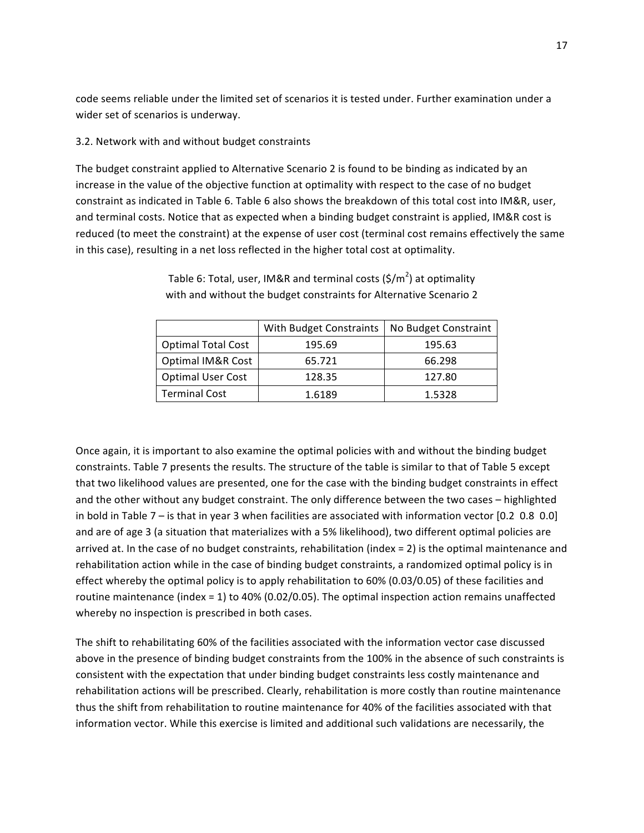code seems reliable under the limited set of scenarios it is tested under. Further examination under a wider set of scenarios is underway.

## 3.2.
Network
with
and
without
budget
constraints

The budget constraint applied to Alternative Scenario 2 is found to be binding as indicated by an increase in the value of the objective function at optimality with respect to the case of no budget constraint as indicated in Table 6. Table 6 also shows the breakdown of this total cost into IM&R, user, and terminal costs. Notice that as expected when a binding budget constraint is applied, IM&R cost is reduced (to meet the constraint) at the expense of user cost (terminal cost remains effectively the same in
this
case),
resulting
in
a
net
loss
reflected
in
the
higher
total
cost
at
optimality.

|                           | With Budget Constraints | No Budget Constraint |  |  |
|---------------------------|-------------------------|----------------------|--|--|
| <b>Optimal Total Cost</b> | 195.69                  | 195.63               |  |  |
| Optimal IM&R Cost         | 65.721                  | 66.298               |  |  |
| <b>Optimal User Cost</b>  | 128.35                  | 127.80               |  |  |
| <b>Terminal Cost</b>      | 1.6189                  | 1.5328               |  |  |

Table 6: Total, user, IM&R and terminal costs (\$/m<sup>2</sup>) at optimality with and without the budget constraints for Alternative Scenario 2

Once again, it is important to also examine the optimal policies with and without the binding budget constraints. Table 7 presents the results. The structure of the table is similar to that of Table 5 except that
two
likelihood
values
are
presented,
one
for
the
case
with
the
binding
budget
constraints
in
effect and
the
other
without
any
budget
constraint.
The
only
difference
between
the
two
cases
–
highlighted in bold in Table 7 – is that in year 3 when facilities are associated with information vector [0.2 0.8 0.0] and are of age 3 (a situation that materializes with a 5% likelihood), two different optimal policies are arrived at. In the case of no budget constraints, rehabilitation (index = 2) is the optimal maintenance and rehabilitation action while in the case of binding budget constraints, a randomized optimal policy is in effect whereby the optimal policy is to apply rehabilitation to 60% (0.03/0.05) of these facilities and routine maintenance (index = 1) to 40% (0.02/0.05). The optimal inspection action remains unaffected whereby no inspection is prescribed in both cases.

The shift to rehabilitating 60% of the facilities associated with the information vector case discussed above in the presence of binding budget constraints from the 100% in the absence of such constraints is consistent
with
the
expectation
that
under
binding
budget
constraints
less
costly
maintenance
and rehabilitation
actions
will
be
prescribed.
Clearly,
rehabilitation
is
more
costly
than
routine
maintenance thus the shift from rehabilitation to routine maintenance for 40% of the facilities associated with that information vector. While this exercise is limited and additional such validations are necessarily, the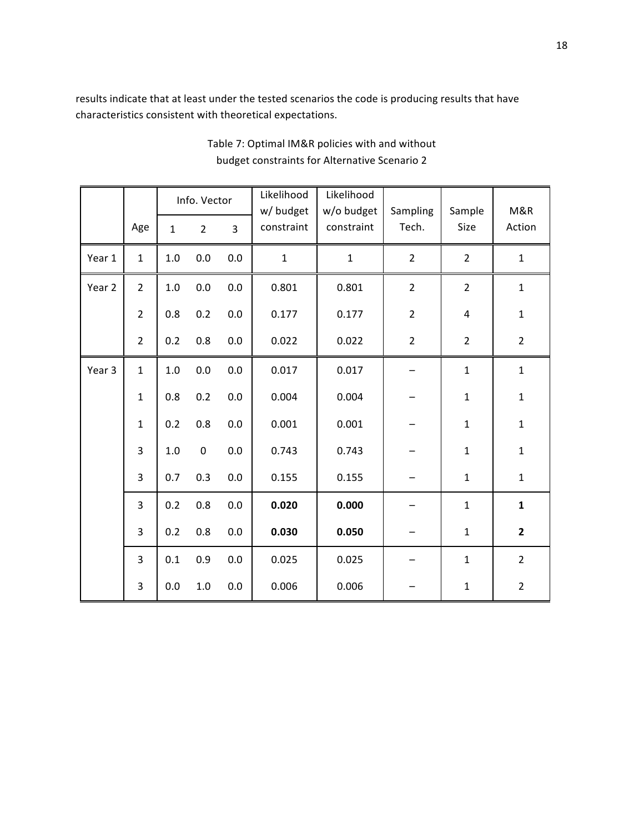results indicate that at least under the tested scenarios the code is producing results that have characteristics
consistent
with
theoretical
expectations.

|        |                | Info. Vector |                | Likelihood<br>w/ budget | Likelihood<br>w/o budget | Sampling     | Sample         | M&R            |                |
|--------|----------------|--------------|----------------|-------------------------|--------------------------|--------------|----------------|----------------|----------------|
|        | Age            | $\mathbf{1}$ | $\overline{2}$ | $\overline{3}$          | constraint               | constraint   | Tech.          | Size           | Action         |
| Year 1 | $\mathbf{1}$   | $1.0\,$      | 0.0            | 0.0                     | $\mathbf 1$              | $\mathbf{1}$ | $\overline{2}$ | $\overline{2}$ | $\mathbf 1$    |
| Year 2 | $\overline{2}$ | $1.0\,$      | 0.0            | 0.0                     | 0.801                    | 0.801        | $\overline{2}$ | $\overline{2}$ | $\mathbf 1$    |
|        | $\overline{2}$ | $0.8\,$      | 0.2            | 0.0                     | 0.177                    | 0.177        | $\overline{2}$ | $\overline{4}$ | $\mathbf 1$    |
|        | $\overline{2}$ | 0.2          | $0.8\,$        | $0.0\,$                 | 0.022                    | 0.022        | $\overline{2}$ | $\overline{2}$ | $\mathbf 2$    |
| Year 3 | $\mathbf{1}$   | $1.0\,$      | 0.0            | $0.0\,$                 | 0.017                    | 0.017        |                | $\mathbf{1}$   | $\mathbf 1$    |
|        | $\mathbf{1}$   | 0.8          | 0.2            | $0.0\,$                 | 0.004                    | 0.004        |                | $\mathbf 1$    | $\mathbf 1$    |
|        | $\mathbf{1}$   | 0.2          | $0.8\,$        | 0.0                     | 0.001                    | 0.001        |                | $\mathbf{1}$   | $\mathbf 1$    |
|        | 3              | $1.0\,$      | $\pmb{0}$      | $0.0\,$                 | 0.743                    | 0.743        |                | $\mathbf{1}$   | $\mathbf 1$    |
|        | 3              | 0.7          | 0.3            | 0.0                     | 0.155                    | 0.155        |                | $\mathbf 1$    | $\mathbf{1}$   |
|        | 3              | 0.2          | $0.8\,$        | $0.0\,$                 | 0.020                    | 0.000        |                | $\mathbf 1$    | $\mathbf 1$    |
|        | 3              | 0.2          | $0.8\,$        | 0.0                     | 0.030                    | 0.050        |                | $\mathbf 1$    | $\mathbf{2}$   |
|        | $\overline{3}$ | 0.1          | 0.9            | 0.0                     | 0.025                    | 0.025        |                | $\mathbf{1}$   | $\overline{2}$ |
|        | 3              | 0.0          | $1.0\,$        | 0.0                     | 0.006                    | 0.006        |                | $\mathbf 1$    | $\overline{2}$ |

Table
7:
Optimal
IM&R
policies
with
and
without budget
constraints
for
Alternative
Scenario
2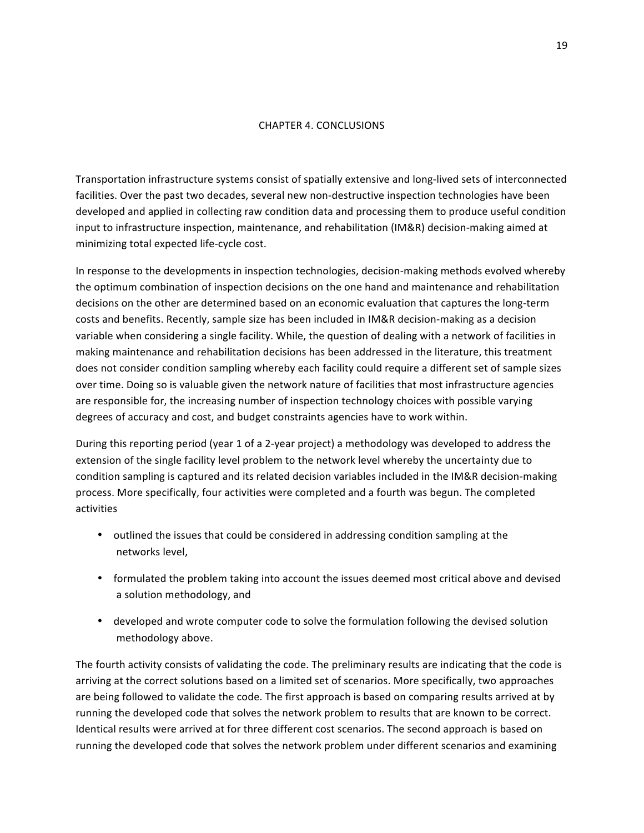#### CHAPTER
4.
CONCLUSIONS

Transportation
infrastructure
systems
consist
of
spatially
extensive
and
long‐lived
sets
of
interconnected facilities. Over the past two decades, several new non-destructive inspection technologies have been developed and applied in collecting raw condition data and processing them to produce useful condition input to infrastructure inspection, maintenance, and rehabilitation (IM&R) decision-making aimed at minimizing
total
expected
life‐cycle
cost.

In response to the developments in inspection technologies, decision-making methods evolved whereby the optimum combination of inspection decisions on the one hand and maintenance and rehabilitation decisions on the other are determined based on an economic evaluation that captures the long-term costs and benefits. Recently, sample size has been included in IM&R decision-making as a decision variable when considering a single facility. While, the question of dealing with a network of facilities in making
maintenance
and
rehabilitation
decisions
has
been
addressed
in
the
literature,
this
treatment does not consider condition sampling whereby each facility could require a different set of sample sizes over
time.
Doing
so
is
valuable
given
the
network
nature
of
facilities
that
most
infrastructure
agencies are
responsible
for,
the
increasing
number
of
inspection
technology
choices
with
possible
varying degrees
of
accuracy
and
cost,
and
budget
constraints
agencies
have
to
work
within.

During this reporting period (year 1 of a 2-year project) a methodology was developed to address the extension of the single facility level problem to the network level whereby the uncertainty due to condition sampling is captured and its related decision variables included in the IM&R decision-making process.
More
specifically,
four
activities
were
completed
and
a
fourth
was
begun.
The
completed activities

- outlined the issues that could be considered in addressing condition sampling at the networks
level,
- formulated the problem taking into account the issues deemed most critical above and devised a
solution
methodology,
and
- developed and wrote computer code to solve the formulation following the devised solution methodology
above.

The fourth activity consists of validating the code. The preliminary results are indicating that the code is arriving
at
the
correct
solutions
based
on
a
limited
set
of
scenarios.
More
specifically,
two
approaches are being followed to validate the code. The first approach is based on comparing results arrived at by running the developed code that solves the network problem to results that are known to be correct. Identical results were arrived at for three different cost scenarios. The second approach is based on running the developed code that solves the network problem under different scenarios and examining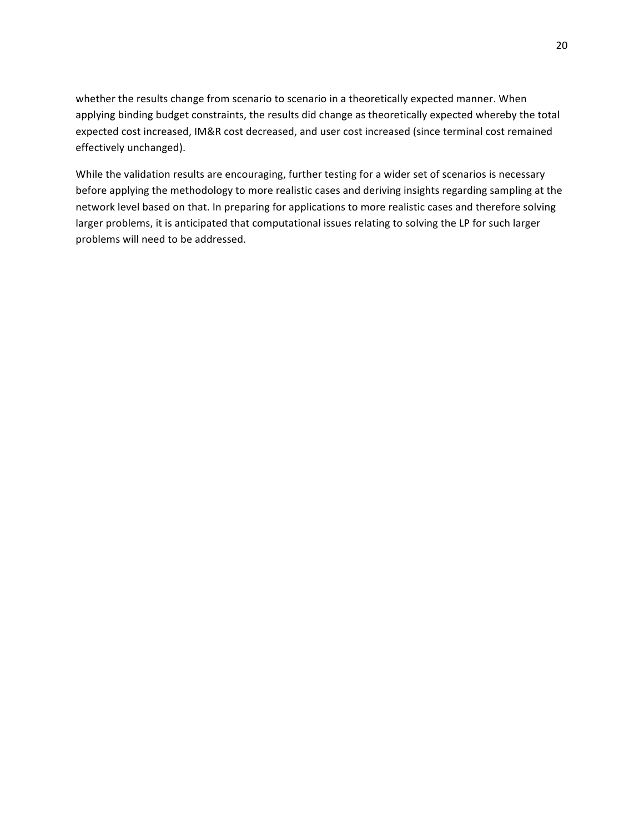whether the results change from scenario to scenario in a theoretically expected manner. When applying binding budget constraints, the results did change as theoretically expected whereby the total expected
cost
increased,
IM&R
cost
decreased,
and
user
cost
increased
(since
terminal
cost
remained effectively
unchanged).

While the validation results are encouraging, further testing for a wider set of scenarios is necessary before applying the methodology to more realistic cases and deriving insights regarding sampling at the network level based on that. In preparing for applications to more realistic cases and therefore solving larger problems, it is anticipated that computational issues relating to solving the LP for such larger problems
will
need
to
be
addressed.